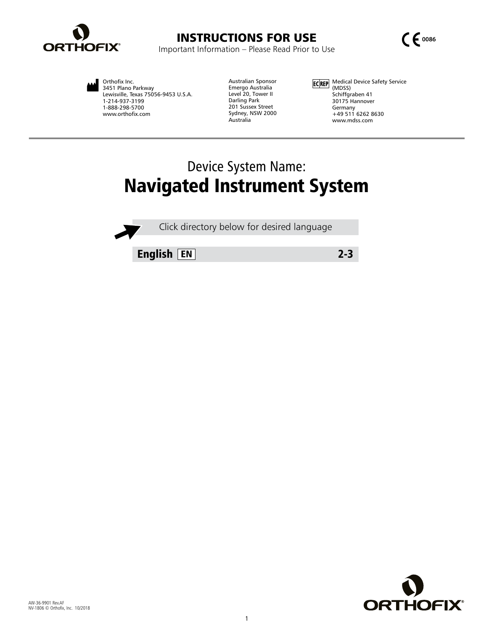



Orthofix Inc. 3451 Plano Parkway Lewisville, Texas 75056-9453 U.S.A. 1-214-937-3199 1-888-298-5700 www.orthofix.com

Australian Sponsor Emergo Australia Level 20, Tower II Darling Park 201 Sussex Street Sydney, NSW 2000 Australia

Medical Device Safety Service (MDSS) Schiffgraben 41 30175 Hannover Germany +49 511 6262 8630 www.mdss.com

# Device System Name: Navigated Instrument System

Click directory below for desired language

English EN 2-3

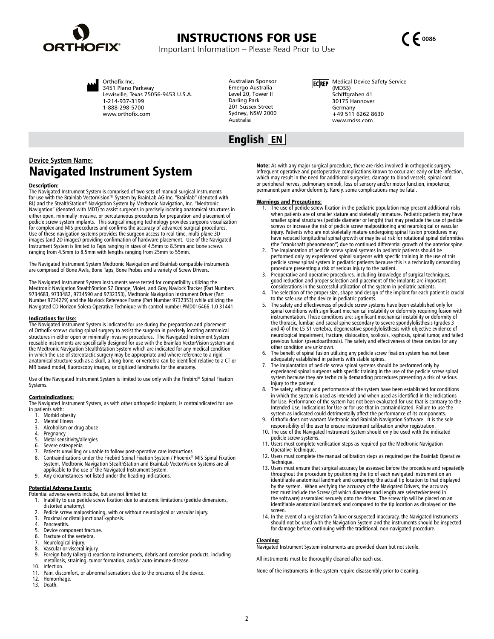<span id="page-1-0"></span>





Orthofix Inc. 3451 Plano Parkway Lewisville, Texas 75056-9453 U.S.A. 1-214-937-3199 1-888-298-5700 www.orthofix.com

Australian Sponsor Emergo Australia Level 20, Tower II Darling Park 201 Sussex Street Sydney, NSW 2000 Australia

# English EN

ECREP Medical Device Safety Service (MDSS) Schiffgraben 41 30175 Hannover Germany +49 511 6262 8630 www.mdss.com

## **Device System Name:**  Navigated Instrument System

#### Description:

The Navigated Instrument System is comprised of two sets of manual surgical instruments for use with the Brainlab VectorVision™ System by BrainLab AG Inc. "Brainlab" (denoted with BL) and the StealthStation® Navigation System by Medtronic Navigation, Inc. "Medtronic Navigation" (denoted with MDT) to assist surgeons in precisely locating anatomical structures in<br>either open, minimally invasive, or percutaneous procedures for preparation and placement of<br>pedicle screw system implants. T Use of these navigation systems provides the surgeon access to real-time, multi-plane 3D images (and 2D images) providing confirmation of hardware placement. Use of the Navigated Instrument System is limited to Taps ranging in sizes of 4.5mm to 8.5mm and bone screws ranging from 4.5mm to 8.5mm with lengths ranging from 25mm to 55mm.

The Navigated Instrument System Medtronic Navigation and Brainlab compatible instruments are comprised of Bone Awls, Bone Taps, Bone Probes and a variety of Screw Drivers.

The Navigated Instrument System instruments were tested for compatibility utilizing the<br>Medtronic Navigation StealthStation S7 Orange, Violet, and Gray Navlock Tracker (Part Numbers<br>9734683, 9733482, 9734590 and 9732353), Number 9734279) and the Navlock Reference Frame (Part Number 9732353) while utilizing the Navigated CD Horizon Solera Operative Technique with control number PMD016466-1.0 31441.

#### Indications for Use:

The Navigated Instrument System is indicated for use during the preparation and placement of Orthofix screws during spinal surgery to assist the surgeon in precisely locating anatomical structures in either open or minimally invasive procedures. The Navigated Instrument System reusable instruments are specifically designed for use with the Brainlab VectorVision system and the Medtronic Navigation StealthStation System which are indicated for any medical condition in which the use of stereotactic surgery may be appropriate and where reference to a rigid anatomical structure such as a skull, a long bone, or vertebra can be identified relative to a CT or MR based model, fluoroscopy images, or digitized landmarks for the anatomy.

Use of the Navigated Instrument System is limited to use only with the Firebird® Spinal Fixation Systems.

#### Contraindications:

The Navigated Instrument System, as with other orthopedic implants, is contraindicated for use in patients with:

- 1. Morbid obesity<br>2. Mental Illness
- 2. Mental Illness<br>3. Alcoholism or
- 3. Alcoholism or drug abuse<br>4. Pregnancy
- Pregnancy
- 5. Metal sensitivity/allergies 6. Severe osteopenia
- 7. Patients unwilling or unable to follow post-operative care instructions<br>8. Contraindications under the Firebird Spinal Fixation System / Phoenix®
- 8. Contraindications under the Firebird Spinal Fixation System / Phoenix® MIS Spinal Fixation System, Medtronic Navigation StealthStation and BrainLab VectorVision Systems are all applicable to the use of the Navigated Instrument System.
- 9. Any circumstances not listed under the heading indications.

**Potential Adverse Events:**<br>Potential adverse events include, but are not limited to:

- 1. Inability to use pedicle screw fixation due to anatomic limitations (pedicle dimensions, distorted anatomy).
- 2. Pedicle screw malpositioning, with or without neurological or vascular injury. 3. Proximal or distal junctional kyphosis.
- 
- 4. Pancreatitis.<br>5. Device comp
- 
- 5. Device component fracture.<br>6. Fracture of the vertebra. 6. Fracture of the vertebra.<br>7. Neurological injury.
- 7. Neurological injury.
- Vascular or visceral injury.
- 9. Foreign body (allergic) reaction to instruments, debris and corrosion products, including metallosis, straining, tumor formation, and/or auto-immune disease.
- 10. Infection.<br>11. Pain, disc Pain, discomfort, or abnormal sensations due to the presence of the device.
- 12. Hemorrhage.
- 13. Death.

Note: As with any major surgical procedure, there are risks involved in orthopedic surgery. Infrequent operative and postoperative complications known to occur are: early or late infection, which may result in the need for additional surgeries, damage to blood vessels, spinal cord or peripheral nerves, pulmonary emboli, loss of sensory and/or motor function, impotence, permanent pain and/or deformity. Rarely, some complications may be fatal.

#### Warnings and Precautions:

- 1. The use of pedicle screw fixation in the pediatric population may present additional risks when patients are of smaller stature and skeletally immature. Pediatric patients may have<br>smaller spinal structures (pedicle diameter or length) that may preclude the use of pedicle<br>screws or increase the risk of pedicle s injury. Patients who are not skeletally mature undergoing spinal fusion procedures may have reduced longitudinal spinal growth or may be at risk for rotational spinal deformities (the "crankshaft phenomenon") due to continued differential growth of the anterior spine.
- 2. The implantation of pedicle screw spinal systems in pediatric patients should be<br>performed only by experienced spinal surgeons with specific training in the use of this<br>pedicle screw spinal system in pediatric patients procedure presenting a risk of serious injury to the patient.
- Preoperative and operative procedures, including knowledge of surgical techniques, good reduction and proper selection and placement of the implants are important considerations in the successful utilization of the system in pediatric patients.
- 4. The selection of the proper size, shape and design of the implant for each patient is crucial to the safe use of the device in pediatric patients.
- The safety and effectiveness of pedicle screw systems have been established only for spinal conditions with significant mechanical instability or deformity requiring fusion with instrumentation. These conditions are: significant mechanical instability or deformity of the thoracic, lumbar, and sacral spine secondary to severe spondylolisthesis (grades 3 and 4) of the L5-S1 vertebra, degenerative spondylolisthesis with objective evidence of neurological impairment, fracture, dislocation, scoliosis, kyphosis, spinal tumor, and failed previous fusion (pseudoarthrosis). The safety and effectiveness of these devices for any other condition are unknown.
- The benefit of spinal fusion utilizing any pedicle screw fixation system has not been adequately established in patients with stable spines.
- 7. The implantation of pedicle screw spinal systems should be performed only by experienced spinal surgeons with specific training in the use of the pedicle screw spinal system because they are technically demanding procedures presenting a risk of serious injury to the patient.
- The safety, efficacy and performance of the system have been established for conditions in which the system is used as intended and when used as identified in the Indications for Use. Performance of the system has not been evaluated for use that is contrary to the Intended Use, Indications for Use or for use that in contraindicated. Failure to use the system as indicated could detrimentally affect the performance of its components.
- Orthofix does not warrant Medtronic and Brainlab Navigation Software. It is the sole responsibility of the user to ensure instrument calibration and/or registration.
- 10. The use of the Navigated Instrument System should only be used with the indicated pedicle screw systems.
- 11. Users must complete verification steps as required per the Medtronic Navigation Operative Technique.
- 12. Users must complete the manual calibration steps as required per the Brainlab Operative Technique.
- 13. Users must ensure that surgical accuracy be assessed before the procedure and repeatedly throughout the procedure by positioning the tip of each navigated instrument on an identifiable anatomical landmark and comparing the actual tip location to that displayed<br>by the system. When verifying the accuracy of the Navigated Drivers, the accuracy<br>test must include the Screw (of which diameter and the software) assembled securely onto the driver. The screw tip will be placed on an identifiable anatomical landmark and compared to the tip location as displayed on the screen.
- 14. In the event of a registration failure or suspected inaccuracy, the Navigated Instruments should not be used with the Navigation System and the instruments should be inspected for damage before continuing with the traditional, non-navigated procedure.

#### Cleaning:

Navigated Instrument System instruments are provided clean but not sterile.

All instruments must be thoroughly cleaned after each use.

None of the instruments in the system require disassembly prior to cleaning.